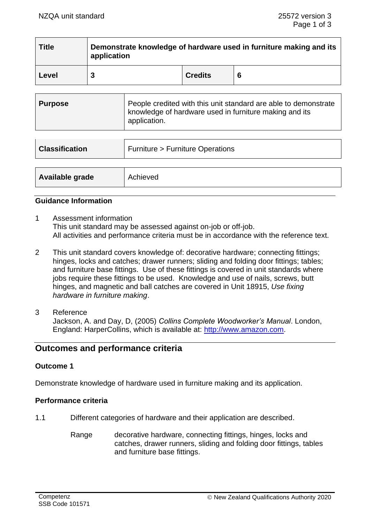| <b>Title</b> | Demonstrate knowledge of hardware used in furniture making and its<br>application |                |   |  |
|--------------|-----------------------------------------------------------------------------------|----------------|---|--|
| Level        | 3                                                                                 | <b>Credits</b> | 6 |  |

| <b>Classification</b> | <b>Furniture &gt; Furniture Operations</b> |
|-----------------------|--------------------------------------------|
|                       |                                            |
| Available grade       | Achieved                                   |

### **Guidance Information**

- 1 Assessment information This unit standard may be assessed against on-job or off-job. All activities and performance criteria must be in accordance with the reference text.
- 2 This unit standard covers knowledge of: decorative hardware; connecting fittings; hinges, locks and catches; drawer runners; sliding and folding door fittings; tables; and furniture base fittings. Use of these fittings is covered in unit standards where jobs require these fittings to be used. Knowledge and use of nails, screws, butt hinges, and magnetic and ball catches are covered in Unit 18915, *Use fixing hardware in furniture making*.
- 3 Reference Jackson, A. and Day, D, (2005) *Collins Complete Woodworker's Manual*. London, England: HarperCollins, which is available at: [http://www.amazon.com.](http://www.amazon.com/)

# **Outcomes and performance criteria**

### **Outcome 1**

Demonstrate knowledge of hardware used in furniture making and its application.

### **Performance criteria**

- 1.1 Different categories of hardware and their application are described.
	- Range decorative hardware, connecting fittings, hinges, locks and catches, drawer runners, sliding and folding door fittings, tables and furniture base fittings.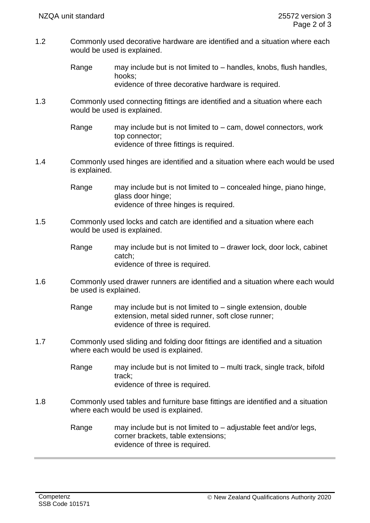- 1.2 Commonly used decorative hardware are identified and a situation where each would be used is explained.
	- Range may include but is not limited to handles, knobs, flush handles, hooks; evidence of three decorative hardware is required.

1.3 Commonly used connecting fittings are identified and a situation where each would be used is explained.

> Range may include but is not limited to – cam, dowel connectors, work top connector; evidence of three fittings is required.

1.4 Commonly used hinges are identified and a situation where each would be used is explained.

> Range may include but is not limited to – concealed hinge, piano hinge, glass door hinge; evidence of three hinges is required.

- 1.5 Commonly used locks and catch are identified and a situation where each would be used is explained.
	- Range may include but is not limited to drawer lock, door lock, cabinet catch; evidence of three is required.
- 1.6 Commonly used drawer runners are identified and a situation where each would be used is explained.

Range may include but is not limited to  $-$  single extension, double extension, metal sided runner, soft close runner; evidence of three is required.

1.7 Commonly used sliding and folding door fittings are identified and a situation where each would be used is explained.

> Range may include but is not limited to – multi track, single track, bifold track; evidence of three is required.

1.8 Commonly used tables and furniture base fittings are identified and a situation where each would be used is explained.

> Range may include but is not limited to – adjustable feet and/or legs, corner brackets, table extensions; evidence of three is required.